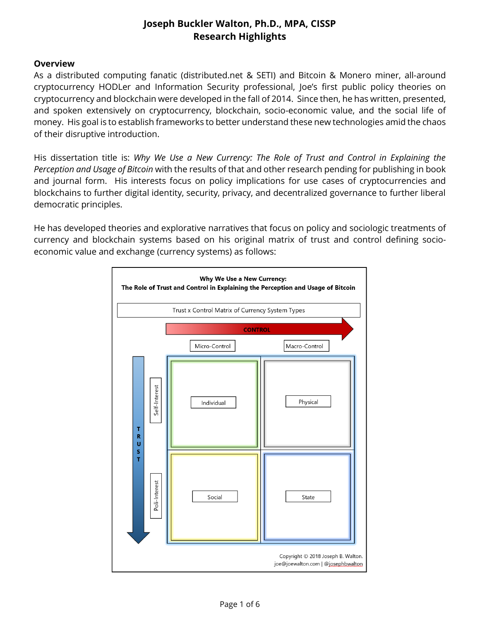#### **Overview**

As a distributed computing fanatic (distributed.net & SETI) and Bitcoin & Monero miner, all-around cryptocurrency HODLer and Information Security professional, Joe's first public policy theories on cryptocurrency and blockchain were developed in the fall of 2014. Since then, he has written, presented, and spoken extensively on cryptocurrency, blockchain, socio-economic value, and the social life of money. His goal is to establish frameworks to better understand these new technologies amid the chaos of their disruptive introduction.

His dissertation title is: *Why We Use a New Currency: The Role of Trust and Control in Explaining the Perception and Usage of Bitcoin* with the results of that and other research pending for publishing in book and journal form. His interests focus on policy implications for use cases of cryptocurrencies and blockchains to further digital identity, security, privacy, and decentralized governance to further liberal democratic principles.

He has developed theories and explorative narratives that focus on policy and sociologic treatments of currency and blockchain systems based on his original matrix of trust and control defining socioeconomic value and exchange (currency systems) as follows:

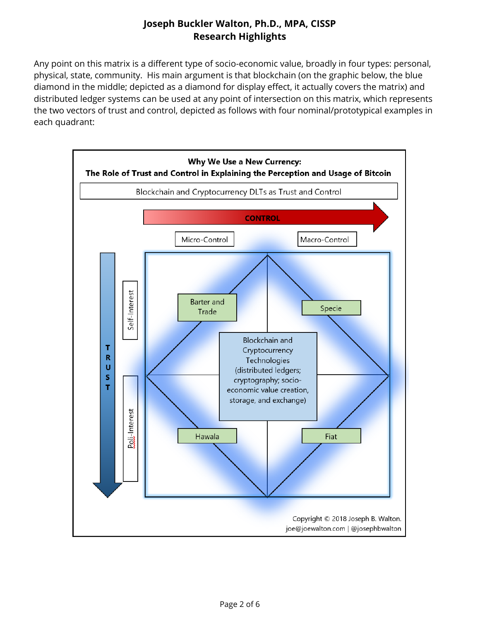Any point on this matrix is a different type of socio-economic value, broadly in four types: personal, physical, state, community. His main argument is that blockchain (on the graphic below, the blue diamond in the middle; depicted as a diamond for display effect, it actually covers the matrix) and distributed ledger systems can be used at any point of intersection on this matrix, which represents the two vectors of trust and control, depicted as follows with four nominal/prototypical examples in each quadrant:

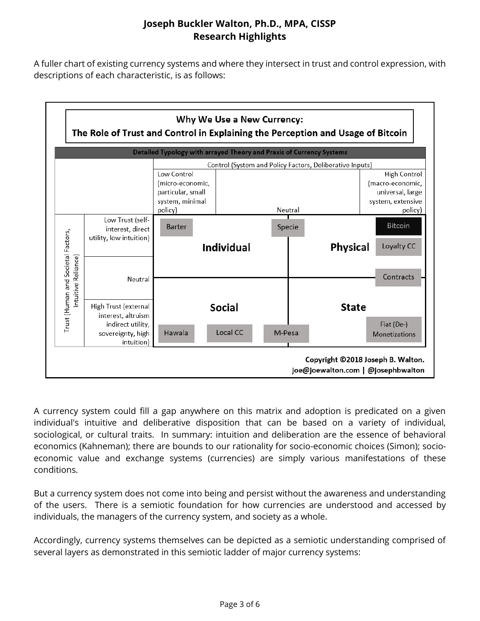A fuller chart of existing currency systems and where they intersect in trust and control expression, with descriptions of each characteristic, is as follows:



A currency system could fill a gap anywhere on this matrix and adoption is predicated on a given individual's intuitive and deliberative disposition that can be based on a variety of individual, sociological, or cultural traits. In summary: intuition and deliberation are the essence of behavioral economics (Kahneman); there are bounds to our rationality for socio-economic choices (Simon); socioeconomic value and exchange systems (currencies) are simply various manifestations of these conditions.

But a currency system does not come into being and persist without the awareness and understanding of the users. There is a semiotic foundation for how currencies are understood and accessed by individuals, the managers of the currency system, and society as a whole.

Accordingly, currency systems themselves can be depicted as a semiotic understanding comprised of several layers as demonstrated in this semiotic ladder of major currency systems: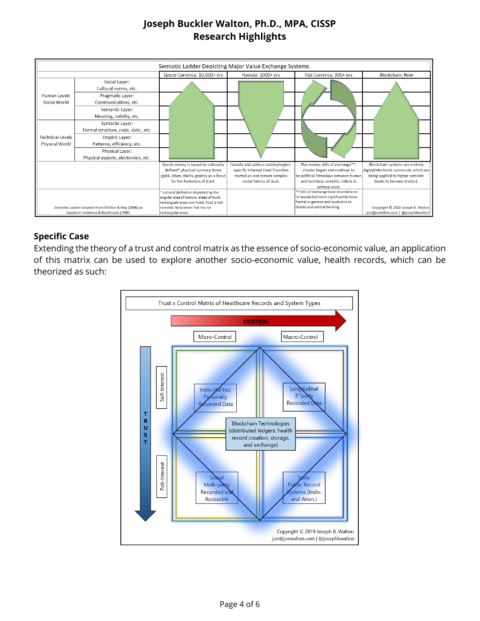| Semiotic Ladder Depicting Major Value Exchange Systems                                       |                                                               |                                                                                                                                                                                    |                                                                                                                                     |                                                                                                                                                                  |                                                                                                                                              |
|----------------------------------------------------------------------------------------------|---------------------------------------------------------------|------------------------------------------------------------------------------------------------------------------------------------------------------------------------------------|-------------------------------------------------------------------------------------------------------------------------------------|------------------------------------------------------------------------------------------------------------------------------------------------------------------|----------------------------------------------------------------------------------------------------------------------------------------------|
|                                                                                              |                                                               | Specie Currency: 10,000+ yrs                                                                                                                                                       | Hawala: 1000+ yrs                                                                                                                   | Fiat Currency: 300+ yrs                                                                                                                                          | <b>Blockchain: Now</b>                                                                                                                       |
|                                                                                              | <b>Social Layer:</b><br>Cultural norms, etc.                  |                                                                                                                                                                                    |                                                                                                                                     |                                                                                                                                                                  |                                                                                                                                              |
| <b>Human Levels</b><br><b>Social World</b>                                                   | <b>Pragmatic Layer:</b><br>Communications, etc.               |                                                                                                                                                                                    |                                                                                                                                     |                                                                                                                                                                  |                                                                                                                                              |
|                                                                                              | <b>Semantic Layer:</b><br>Meaning, validity, etc.             |                                                                                                                                                                                    |                                                                                                                                     |                                                                                                                                                                  |                                                                                                                                              |
|                                                                                              | <b>Syntactic Layer:</b><br>Formal structure, code, data, etc. |                                                                                                                                                                                    |                                                                                                                                     |                                                                                                                                                                  |                                                                                                                                              |
| <b>Technical Levels</b><br><b>Physical World</b>                                             | <b>Empiric Layer:</b><br>Patterns, efficiency, etc.           |                                                                                                                                                                                    |                                                                                                                                     |                                                                                                                                                                  |                                                                                                                                              |
|                                                                                              | <b>Physical Layer:</b><br>Physical aspects, electronics, etc. |                                                                                                                                                                                    |                                                                                                                                     |                                                                                                                                                                  |                                                                                                                                              |
|                                                                                              |                                                               | Specie money is based on culturally<br>defined* physical currency items<br>(gold, silver, shells, grains) as a focus<br>for the formation of trust.                                | Hawala and various country/region-<br>specific Informal Fund Transfers<br>started as and remain complex<br>social fabrics of trust. | Fiat money, bills of exchange**,<br>checks began and continue to<br>be political interplays between human<br>and technical semiotic indicia to<br>achieve trust. | Blockchain systems are entirely<br>digital/electronic constructs which are<br>being applied to higher semiotic<br>levels to become trust(s). |
| Semiotic Ladder adapted from Dhillon & May (2006) as<br>based on Liebenau & Backhouse (1990) |                                                               | cultural definition depicted by the<br>angular area of arrows, areas of trust;<br>rectangualr areas are fixed, trust is not<br>needed. Nota bene: fiat has no<br>rectangular areas |                                                                                                                                     | ** bills of exchange bear resemblance<br>to hawala but were significantly more<br>formal in genesis and evolution to<br>checks and central banking               | Copyright © 2018 Joseph B. Walton<br>joe@joewIton.com   @josephbwalton                                                                       |

### **Specific Case**

Extending the theory of a trust and control matrix as the essence of socio-economic value, an application of this matrix can be used to explore another socio-economic value, health records, which can be theorized as such:

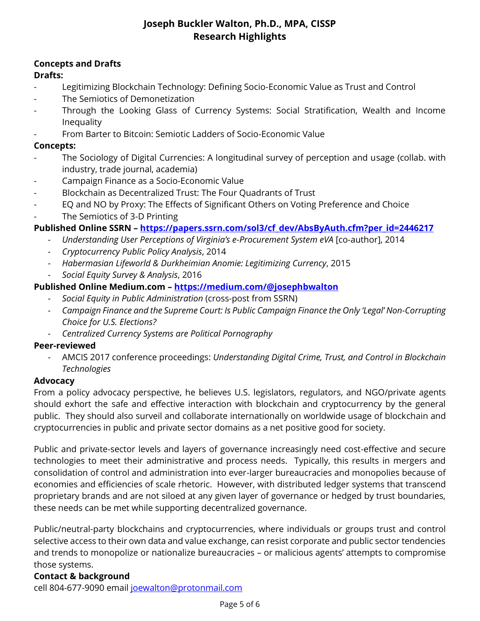### **Concepts and Drafts**

### **Drafts:**

- Legitimizing Blockchain Technology: Defining Socio-Economic Value as Trust and Control
- The Semiotics of Demonetization
- Through the Looking Glass of Currency Systems: Social Stratification, Wealth and Income Inequality
- From Barter to Bitcoin: Semiotic Ladders of Socio-Economic Value

### **Concepts:**

- The Sociology of Digital Currencies: A longitudinal survey of perception and usage (collab. with industry, trade journal, academia)
- Campaign Finance as a Socio-Economic Value
- Blockchain as Decentralized Trust: The Four Quadrants of Trust
- EQ and NO by Proxy: The Effects of Significant Others on Voting Preference and Choice
- The Semiotics of 3-D Printing

### **Published Online SSRN – [https://papers.ssrn.com/sol3/cf\\_dev/AbsByAuth.cfm?per\\_id=2446217](https://papers.ssrn.com/sol3/cf_dev/AbsByAuth.cfm?per_id=2446217)**

- *- Understanding User Perceptions of Virginia's e-Procurement System eVA* [co-author], 2014
- *- Cryptocurrency Public Policy Analysis*, 2014
- *- Habermasian Lifeworld & Durkheimian Anomie: Legitimizing Currency*, 2015
- *- Social Equity Survey & Analysis*, 2016

### **Published Online Medium.com – <https://medium.com/@josephbwalton>**

- *- Social Equity in Public Administration* (cross-post from SSRN)
- *- Campaign Finance and the Supreme Court: Is Public Campaign Finance the Only 'Legal' Non-Corrupting Choice for U.S. Elections?*
- *- Centralized Currency Systems are Political Pornography*

#### **Peer-reviewed**

*-* AMCIS 2017 conference proceedings: *Understanding Digital Crime, Trust, and Control in Blockchain Technologies*

#### **Advocacy**

From a policy advocacy perspective, he believes U.S. legislators, regulators, and NGO/private agents should exhort the safe and effective interaction with blockchain and cryptocurrency by the general public. They should also surveil and collaborate internationally on worldwide usage of blockchain and cryptocurrencies in public and private sector domains as a net positive good for society.

Public and private-sector levels and layers of governance increasingly need cost-effective and secure technologies to meet their administrative and process needs. Typically, this results in mergers and consolidation of control and administration into ever-larger bureaucracies and monopolies because of economies and efficiencies of scale rhetoric. However, with distributed ledger systems that transcend proprietary brands and are not siloed at any given layer of governance or hedged by trust boundaries, these needs can be met while supporting decentralized governance.

Public/neutral-party blockchains and cryptocurrencies, where individuals or groups trust and control selective access to their own data and value exchange, can resist corporate and public sector tendencies and trends to monopolize or nationalize bureaucracies – or malicious agents' attempts to compromise those systems.

#### **Contact & background**

cell 804-677-9090 email [joewalton@protonmail.com](mailto:joewalton@protonmail.com)